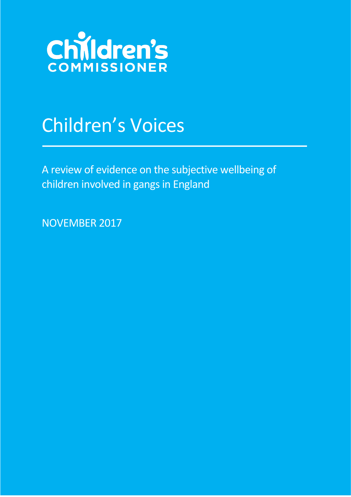

# Children's Voices

A review of evidence on the subjective wellbeing of children involved in gangs in England

NOVEMBER 2017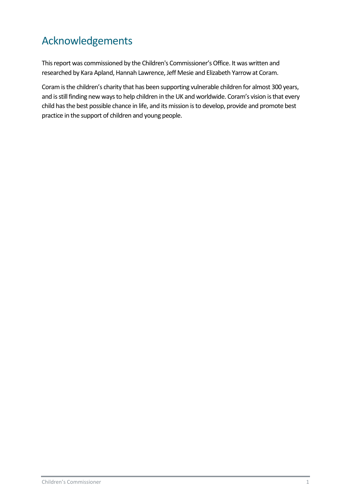# <span id="page-1-0"></span>Acknowledgements

This report was commissioned by the Children's Commissioner's Office. It was written and researched by Kara Apland, Hannah Lawrence, Jeff Mesie and Elizabeth Yarrow at Coram.

[Coram](http://www.coram.org.uk/) is the children's charity that has been supporting vulnerable children for almost 300 years, and is still finding new ways to help children in the UK and worldwide. Coram's vision is that every child has the best possible chance in life, and its mission is to develop, provide and promote best practice in the support of children and young people.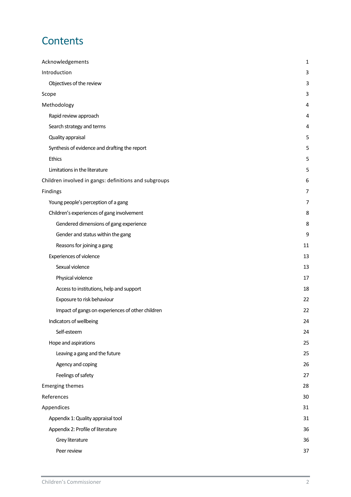# **Contents**

<span id="page-2-0"></span>

| Acknowledgements                                      | 1              |
|-------------------------------------------------------|----------------|
| Introduction                                          | 3              |
| Objectives of the review                              | 3              |
| Scope                                                 | 3              |
| Methodology                                           | 4              |
| Rapid review approach                                 | 4              |
| Search strategy and terms                             | $\overline{4}$ |
| Quality appraisal                                     | 5              |
| Synthesis of evidence and drafting the report         | 5              |
| Ethics                                                | 5              |
| Limitations in the literature                         | 5              |
| Children involved in gangs: definitions and subgroups | 6              |
| Findings                                              | 7              |
| Young people's perception of a gang                   | 7              |
| Children's experiences of gang involvement            | 8              |
| Gendered dimensions of gang experience                | 8              |
| Gender and status within the gang                     | 9              |
| Reasons for joining a gang                            | 11             |
| <b>Experiences of violence</b>                        | 13             |
| Sexual violence                                       | 13             |
| Physical violence                                     | 17             |
| Access to institutions, help and support              | 18             |
| Exposure to risk behaviour                            | 22             |
| Impact of gangs on experiences of other children      | 22             |
| Indicators of wellbeing                               | 24             |
| Self-esteem                                           | 24             |
| Hope and aspirations                                  | 25             |
| Leaving a gang and the future                         | 25             |
| Agency and coping                                     | 26             |
| Feelings of safety                                    | 27             |
| <b>Emerging themes</b>                                | 28             |
| References                                            | 30             |
| Appendices                                            | 31             |
| Appendix 1: Quality appraisal tool                    | 31             |
| Appendix 2: Profile of literature                     | 36             |
| Grey literature                                       | 36             |
| Peer review                                           | 37             |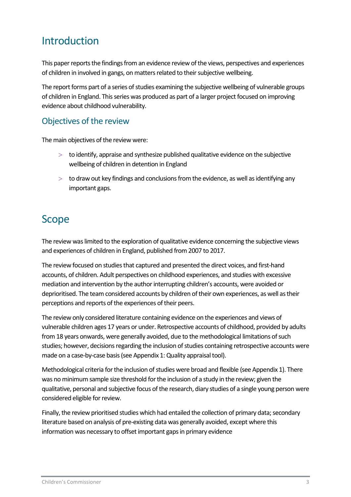# Introduction

This paper reports the findings from an evidence review of the views, perspectives and experiences of children in involved in gangs, on matters related to their subjective wellbeing.

The report forms part of a series of studies examining the subjective wellbeing of vulnerable groups of children in England. This series was produced as part of a larger project focused on improving evidence about childhood vulnerability.

### <span id="page-3-0"></span>Objectives of the review

The main objectives of the review were:

- $>$  to identify, appraise and synthesize published qualitative evidence on the subjective wellbeing of children in detention in England
- $>$  to draw out key findings and conclusions from the evidence, as well as identifying any important gaps.

# <span id="page-3-1"></span>Scope

The review was limited to the exploration of qualitative evidence concerning the subjective views and experiences of children in England, published from 2007 to 2017.

The review focused on studies that captured and presented the direct voices, and first-hand accounts, of children. Adult perspectives on childhood experiences, and studies with excessive mediation and intervention by the author interrupting children's accounts, were avoided or deprioritised. The team considered accounts by children of their own experiences, as well as their perceptions and reports of the experiences of their peers.

The review only considered literature containing evidence on the experiences and views of vulnerable children ages 17 years or under. Retrospective accounts of childhood, provided by adults from 18 years onwards, were generally avoided, due to the methodological limitations of such studies; however, decisions regarding the inclusion of studies containing retrospective accounts were made on a case-by-case basis (see Appendix 1: Quality appraisal tool).

Methodological criteria for the inclusion of studies were broad and flexible (see Appendix 1). There was no minimum sample size threshold for the inclusion of a study in the review; given the qualitative, personal and subjective focus of the research, diary studies of a single young person were considered eligible for review.

Finally, the review prioritised studies which had entailed the collection of primary data; secondary literature based on analysis of pre-existing data was generally avoided, except where this information was necessary to offset important gaps in primary evidence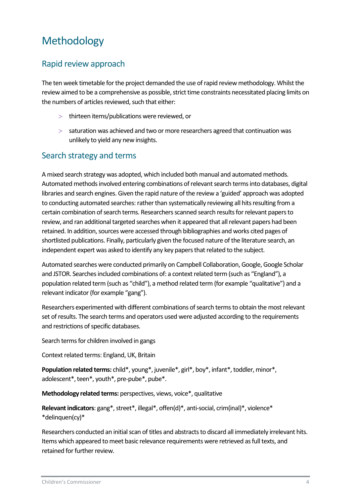# <span id="page-4-0"></span>Methodology

### <span id="page-4-1"></span>Rapid review approach

The ten week timetable for the project demanded the use of rapid review methodology. Whilst the review aimed to be a comprehensive as possible, strict time constraints necessitated placing limits on the numbers of articles reviewed, such that either:

- > thirteen items/publications were reviewed, or
- $>$  saturation was achieved and two or more researchers agreed that continuation was unlikely to yield any new insights.

### <span id="page-4-2"></span>Search strategy and terms

A mixed search strategy was adopted, which included both manual and automated methods. Automated methods involved entering combinations of relevant search terms into databases, digital libraries and search engines. Given the rapid nature of the review a 'guided' approach was adopted to conducting automated searches: rather than systematically reviewing all hits resulting from a certain combination of search terms. Researchers scanned search results for relevant papers to review, and ran additional targeted searches when it appeared that all relevant papers had been retained. In addition, sources were accessed through bibliographies and works cited pages of shortlisted publications. Finally, particularly given the focused nature of the literature search, an independent expert was asked to identify any key papers that related to the subject.

Automated searches were conducted primarily on Campbell Collaboration, Google, Google Scholar and JSTOR. Searches included combinations of: a context related term (such as "England"), a population related term (such as "child"), a method related term (for example "qualitative") and a relevant indicator (for example "gang").

Researchers experimented with different combinations of search terms to obtain the most relevant set of results. The search terms and operators used were adjusted according to the requirements and restrictions of specific databases.

Search terms for children involved in gangs

Context related terms: England, UK, Britain

**Population related terms:** child\*, young\*, juvenile\*, girl\*, boy\*, infant\*, toddler, minor\*, adolescent\*, teen\*, youth\*, pre-pube\*, pube\*.

**Methodology related terms:** perspectives, views, voice\*, qualitative

**Relevant indicators**: gang\*, street\*, illegal\*, offen(d)\*, anti-social, crim(inal)\*, violence\* \*delinquen(cy)\*

Researchers conducted an initial scan of titles and abstracts to discard all immediately irrelevant hits. Items which appeared to meet basic relevance requirements were retrieved as full texts, and retained for further review.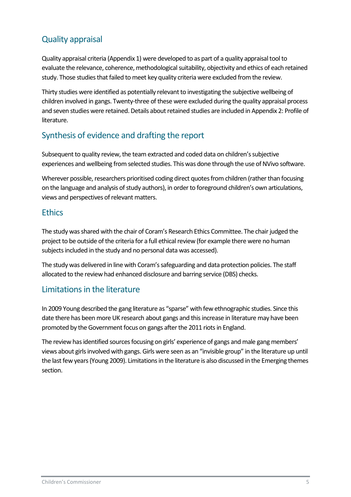## <span id="page-5-0"></span>Quality appraisal

Quality appraisal criteria (Appendix 1) were developed to as part of a quality appraisal tool to evaluate the relevance, coherence, methodological suitability, objectivity and ethics of each retained study. Those studies that failed to meet key quality criteria were excluded from the review.

Thirty studies were identified as potentially relevant to investigating the subjective wellbeing of children involved in gangs. Twenty-three of these were excluded during the quality appraisal process and seven studies were retained. Details about retained studies are included in Appendix 2: Profile of literature.

### <span id="page-5-1"></span>Synthesis of evidence and drafting the report

Subsequent to quality review, the team extracted and coded data on children's subjective experiences and wellbeing from selected studies. This was done through the use of NVivo software.

Wherever possible, researchers prioritised coding direct quotesfrom children (rather than focusing on the language and analysis of study authors), in order to foreground children's own articulations, views and perspectives of relevant matters.

### <span id="page-5-2"></span>**Ethics**

The study was shared with the chair of Coram's Research Ethics Committee. The chair judged the project to be outside of the criteria for a full ethical review (for example there were no human subjects included in the study and no personal data was accessed).

The study was delivered in line with Coram's safeguarding and data protection policies. The staff allocated to the review had enhanced disclosure and barring service (DBS) checks.

### <span id="page-5-3"></span>Limitations in the literature

In 2009 Young described the gang literature as "sparse" with few ethnographic studies. Since this date there has been more UK research about gangs and this increase in literature may have been promoted by the Government focus on gangs after the 2011 riots in England.

The review has identified sources focusing on girls' experience of gangs and male gang members' views about girls involved with gangs. Girls were seen as an "invisible group" in the literature up until the last few years (Young 2009). Limitations in the literature is also discussed in the Emerging themes section.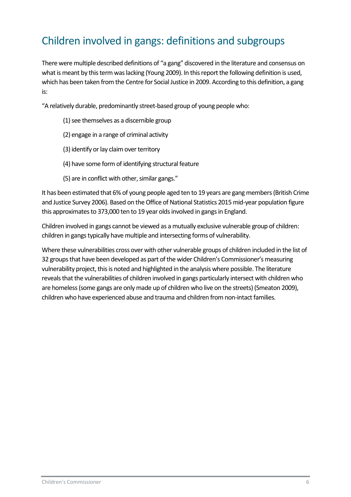# <span id="page-6-0"></span>Children involved in gangs: definitions and subgroups

There were multiple described definitions of "a gang" discovered in the literature and consensus on what is meant by this term waslacking (Young 2009). In this report the following definition is used, which has been taken from the Centre for Social Justice in 2009. According to this definition, a gang is:

"A relatively durable, predominantly street-based group of young people who:

- (1) see themselves as a discernible group
- (2) engage in a range of criminal activity
- (3) identify or lay claim over territory
- (4) have some form of identifying structural feature
- (5) are in conflict with other, similar gangs."

It has been estimated that 6% of young people aged ten to 19 years are gang members (British Crime and Justice Survey 2006). Based on the Office of National Statistics 2015 mid-year population figure this approximates to 373,000 ten to 19 year olds involved in gangs in England.

Children involved in gangs cannot be viewed as a mutually exclusive vulnerable group of children: children in gangs typically have multiple and intersecting forms of vulnerability.

Where these vulnerabilities cross over with other vulnerable groups of children included in the list of 32 groups that have been developed as part of the wider Children's Commissioner's measuring vulnerability project, this is noted and highlighted in the analysis where possible. The literature reveals that the vulnerabilities of children involved in gangs particularly intersect with children who are homeless (some gangs are only made up of children who live on the streets)(Smeaton 2009), children who have experienced abuse and trauma and children from non-intact families.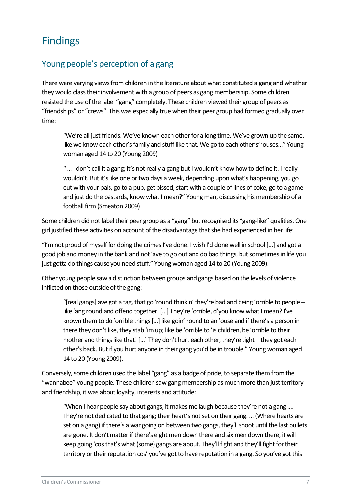# <span id="page-7-0"></span>Findings

### <span id="page-7-1"></span>Young people's perception of a gang

There were varying views from children in the literature about what constituted a gang and whether they would class their involvement with a group of peers as gangmembership. Some children resisted the use of the label "gang" completely. These children viewed their group of peers as "friendships" or "crews". This was especially true when their peer group had formed gradually over time:

"We're all just friends. We've known each other for a long time. We've grown up the same, like we know each other's family and stuff like that. We go to each other's' 'ouses..." Young woman aged 14 to 20 (Young 2009)

" ... I don't call it a gang; it's not really a gang but I wouldn't know how to define it. I really wouldn't. But it's like one or two days a week, depending upon what's happening, you go out with your pals, go to a pub, get pissed, start with a couple of lines of coke, go to a game and just do the bastards, know what I mean?" Young man, discussing his membership of a football firm (Smeaton 2009)

Some children did not label their peer group as a "gang" but recognised its "gang-like" qualities.One girl justified these activities on account of the disadvantage that she had experienced in her life:

"I'm not proud of myself for doing the crimes I've done. I wish I'd done well in school […] and got a good job and money in the bank and not 'ave to go out and do bad things, but sometimes in life you just gotta do things cause you need stuff." Young woman aged 14 to 20 (Young 2009).

Other young people saw a distinction between groups and gangs based on the levels of violence inflicted on those outside of the gang:

"[real gangs] ave got a tag, that go 'round thinkin' they're bad and being 'orrible to people – like 'ang round and offend together. […] They're 'orrible, d'you know what I mean? I've known them to do 'orrible things [...] like goin' round to an 'ouse and if there's a person in there they don't like, they stab 'im up; like be 'orrible to 'is children, be 'orrible to their mother and things like that! […] They don't hurt each other, they're tight – they got each other's back. But if you hurt anyone in their gang you'd be in trouble." Young woman aged 14 to 20 (Young 2009).

Conversely, some children used the label "gang" as a badge of pride, to separate them from the "wannabee" young people. These children saw gang membership as much more than just territory and friendship, it was about loyalty, interests and attitude:

"When I hear people say about gangs, it makes me laugh because they're not a gang …. They're not dedicated to that gang; their heart's not set on their gang. … (Where hearts are set on a gang) if there's a war going on between two gangs, they'll shoot until the last bullets are gone. It don't matter if there's eight men down there and six men down there, it will keep going ʻcos that's what (some) gangs are about. They'll fight and they'll fight for their territory or their reputation cos' you've got to have reputation in a gang. So you've got this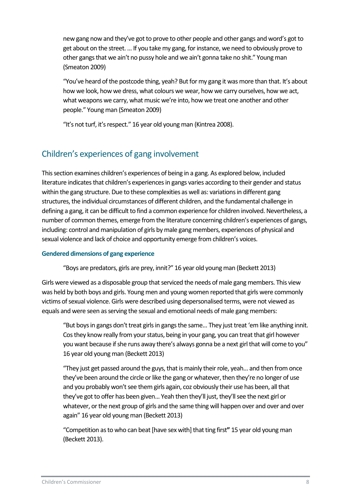new gang now and they've got to prove to other people and other gangs and word's got to get about on the street. … If you take my gang, for instance, we need to obviously prove to other gangs that we ain't no pussy hole and we ain't gonna take no shit." Young man (Smeaton 2009)

"You've heard of the postcode thing, yeah? But for my gang it was more than that. It's about how we look, how we dress, what colours we wear, how we carry ourselves, how we act, what weapons we carry, what music we're into, how we treat one another and other people." Young man (Smeaton 2009)

<span id="page-8-0"></span>"It's not turf, it's respect." 16 year old young man (Kintrea 2008).

### Children's experiences of gang involvement

This section examines children's experiences of being in a gang. As explored below, included literature indicates that children's experiences in gangs varies according to their gender and status within the gang structure. Due to these complexities as well as: variations in different gang structures, the individual circumstances of different children, and the fundamental challenge in defining a gang, it can be difficult to find a common experience for children involved. Nevertheless, a number of common themes, emerge from the literature concerning children's experiences of gangs, including: control and manipulation of girls by male gang members, experiences of physical and sexual violence and lack of choice and opportunity emerge from children's voices.

#### <span id="page-8-1"></span>**Gendered dimensions of gang experience**

"Boys are predators, girls are prey, innit?" 16 year old young man (Beckett 2013)

Girls were viewed as a disposable group that serviced the needs of male gang members. This view was held by both boys and girls. Young men and young women reported that girls were commonly victims of sexual violence. Girls were described using depersonalised terms, were not viewed as equals and were seen as serving the sexual and emotional needs of male gang members:

"But boys in gangs don't treat girls in gangs the same... They just treat 'em like anything innit. Cos they know really from your status, being in your gang, you can treat that girl however you want because if she runs away there's always gonna be a next girl that will come to you" 16 year old young man (Beckett 2013)

"They just get passed around the guys, that is mainly their role, yeah... and then from once they've been around the circle or like the gang or whatever, then they're no longer of use and you probably won't see them girls again, coz obviously their use has been, all that they've got to offer has been given... Yeah then they'll just, they'll see the next girl or whatever, or the next group of girls and the same thing will happen over and over and over again" 16 year old young man (Beckett 2013)

"Competition as to who can beat [have sex with] that ting first**"** 15 year old young man (Beckett 2013).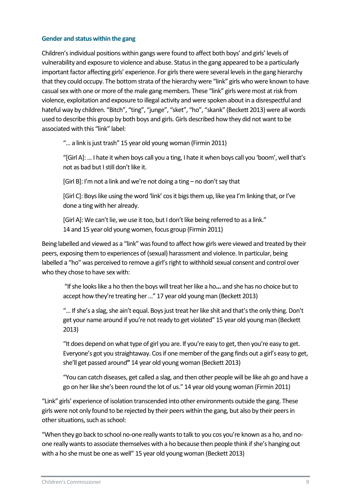#### <span id="page-9-0"></span>**Gender and status within the gang**

Children's individual positions within gangs were found to affect both boys' and girls' levels of vulnerability and exposure to violence and abuse. Status in the gang appeared to be a particularly important factor affecting girls' experience. For girls there were several levels in the gang hierarchy that they could occupy. The bottom strata of the hierarchy were "link" girls who were known to have casual sex with one or more of the male gang members. These "link" girls were most at risk from violence, exploitation and exposure to illegal activity and were spoken about in a disrespectful and hateful way by children. "Bitch", "ting", "junge", "sket", "ho", "skank" (Beckett 2013) were all words used to describe this group by both boys and girls. Girls described how they did not want to be associated with this "link" label:

"…a link is just trash" 15 year old young woman (Firmin 2011)

"[Girl A]:… I hate it when boys call you a ting, I hate it when boys call you 'boom', well that's not as bad but I still don't like it.

[Girl B]: I'm not a link and we're not doing a ting – no don't say that

[Girl C]: Boys like using the word 'link' cos it bigs them up, like yea I'm linking that, or I've done a ting with her already.

[Girl A]: We can't lie, we use it too, but I don't like being referred to as a link." 14 and 15 year old young women, focus group (Firmin 2011)

Being labelled and viewed as a "link" was found to affect how girls were viewed and treated by their peers, exposing them to experiences of (sexual) harassment and violence. In particular, being labelled a "ho" was perceived to remove a girl's right to withhold sexual consent and control over who they chose to have sex with:

"If she looks like a ho then the boys will treat her like a ho... and she has no choice but to accept how they're treating her …" 17 year old young man (Beckett 2013)

"... If she's a slag, she ain't equal. Boys just treat her like shit and that's the only thing. Don't get your name around if you're not ready to get violated" 15 year old young man (Beckett 2013)

"It does depend on what type of girl you are. If you're easy to get, then you're easy to get. Everyone's got you straightaway. Cos if one member of the gang finds out a girl's easy to get, she'll get passed around**"** 14 year old young woman (Beckett 2013)

"You can catch diseases, get called a slag, and then other people will be like ah go and have a go on her like she's been round the lot of us." 14 year old young woman (Firmin 2011)

"Link" girls' experience of isolation transcended into other environments outside the gang. These girls were not only found to be rejected by their peers within the gang, but also by their peers in other situations, such as school:

"When they go back to school no-one really wants to talk to you cos you're known as a ho, and noone really wants to associate themselves with a ho because then people think if she's hanging out with a ho she must be one as well" 15 year old young woman (Beckett 2013)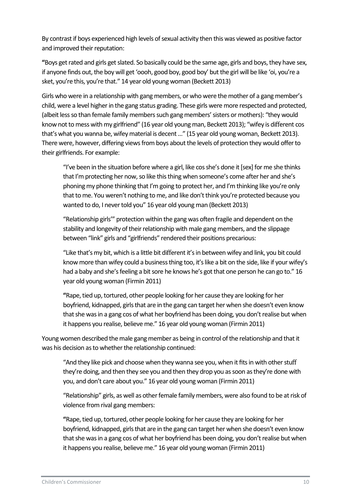By contrast if boys experienced high levels of sexual activity then this was viewed as positive factor and improved their reputation:

**"**Boys get rated and girls get slated. So basically could be the same age, girls and boys, they have sex, if anyone finds out, the boy will get 'oooh, good boy, good boy' but the girl will be like 'oi, you're a sket, you're this, you're that." 14 year old young woman (Beckett 2013)

Girls who were in a relationship with gang members, or who were the mother of a gang member's child, were a level higher in the gang status grading. These girls were more respected and protected, (albeit less so than female family members such gang members' sisters or mothers): "they would know not to mess with my girlfriend" (16 year old young man, Beckett 2013); "wifey is different cos that's what you wanna be, wifey material is decent …" (15 year old young woman, Beckett 2013). There were, however, differing views from boys about the levels of protection they would offer to their girlfriends. For example:

"I've been in the situation before where a girl, like cos she's done it [sex] for me she thinks that I'm protecting her now, so like this thing when someone's come after her and she's phoning my phone thinking that I'm going to protect her, and I'm thinking like you're only that to me. You weren't nothing to me, and like don't think you're protected because you wanted to do, I never told you" 16 year old young man (Beckett 2013)

"Relationship girls'" protection within the gang was often fragile and dependent on the stability and longevity of their relationship with male gang members, and the slippage between "link" girls and "girlfriends" rendered their positions precarious:

"Like that's my bit, which is a little bit different it's in between wifey and link, you bit could know more than wifey could a business thing too, it's like a bit on the side, like if your wifey's had a baby and she's feeling a bit sore he knows he's got that one person he can go to." 16 year old young woman (Firmin 2011)

**"**Rape, tied up, tortured, other people looking for her cause they are looking for her boyfriend, kidnapped, girls that are in the gang can target her when she doesn't even know that she was in a gang cos of what her boyfriend has been doing, you don't realise but when it happens you realise, believe me." 16 year old young woman (Firmin 2011)

Young women described the male gang member as being in control of the relationship and that it was his decision as to whether the relationship continued:

"And they like pick and choose when they wanna see you, when it fits in with other stuff they're doing, and then they see you and then they drop you as soon as they're done with you, and don't care about you." 16 year old young woman (Firmin 2011)

"Relationship" girls, as well as other female family members, were also found to be at risk of violence from rival gang members:

**"**Rape, tied up, tortured, other people looking for her cause they are looking for her boyfriend, kidnapped, girls that are in the gang can target her when she doesn't even know that she was in a gang cos of what her boyfriend has been doing, you don't realise but when it happens you realise, believe me." 16 year old young woman (Firmin 2011)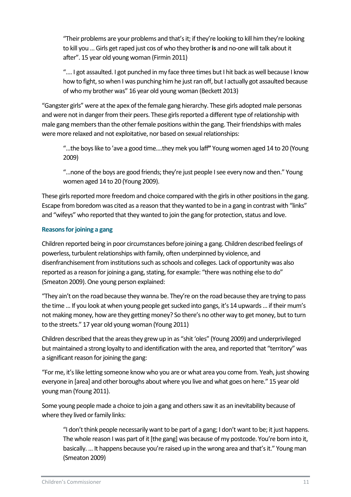"Their problems are your problems and that's it; if they're looking to kill him they're looking to kill you … Girls get raped just cos of who they brother**is** and no-one will talk about it after". 15 year old young woman (Firmin 2011)

".... I got assaulted. I got punched in my face three times but I hit back as well because I know how to fight, so when I was punching him he just ran off, but I actually got assaulted because of who my brother was" 16 year old young woman (Beckett 2013)

"Gangster girls" were at the apex of the female gang hierarchy. These girls adopted male personas and were not in danger from their peers. These girls reported a different type of relationship with male gang members than the other female positions within the gang. Their friendships with males were more relaxed and not exploitative, nor based on sexual relationships:

"…the boys like to 'ave a good time….they mek you laff**"** Young women aged 14 to 20 (Young 2009)

"...none of the boys are good friends; they're just people I see every now and then." Young women aged 14 to 20 (Young 2009).

These girls reported more freedom and choice compared with the girls in other positions in the gang. Escape from boredom was cited as a reason that they wanted to be in a gang in contrast with "links" and "wifeys" who reported that they wanted to join the gang for protection, status and love.

#### <span id="page-11-0"></span>**Reasons for joining a gang**

Children reported being in poor circumstances before joining a gang. Children described feelings of powerless, turbulent relationships with family, often underpinned by violence, and disenfranchisement from institutions such as schools and colleges. Lack of opportunity was also reported as a reason for joining a gang, stating, for example: "there was nothing else to do" (Smeaton 2009). One young person explained:

"They ain't on the road because they wanna be. They're on the road because they are trying to pass the time … If you look at when young people get sucked into gangs, it's 14 upwards … if their mum's not making money, how are they getting money? So there's no other way to get money, but to turn to the streets." 17 year old young woman (Young 2011)

Children described that the areas they grew up in as "shit 'oles" (Young 2009) and underprivileged but maintained a strong loyalty to and identification with the area, and reported that "territory" was a significant reason for joining the gang:

"For me, it's like letting someone know who you are or what area you come from. Yeah, just showing everyone in [area] and other boroughs about where you live and what goes on here." 15 year old young man (Young 2011).

Some young people made a choice to join a gang and others saw it as an inevitability because of where they lived or family links:

"I don't think people necessarily want to be part of a gang; I don't want to be; it just happens. The whole reason I was part of it [the gang] was because of my postcode. You're born into it, basically. … It happens because you're raised up in the wrong area and that's it." Young man (Smeaton 2009)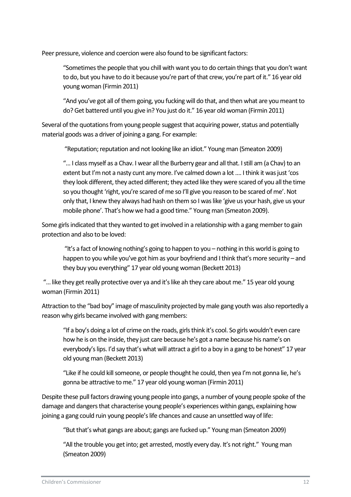Peer pressure, violence and coercion were also found to be significant factors:

"Sometimes the people that you chill with want you to do certain things that you don't want to do, but you have to do it because you're part of that crew, you're part of it." 16 year old young woman (Firmin 2011)

"And you've got all of them going, you fucking will do that, and then what are you meant to do? Get battered until you give in? You just do it." 16 year old woman (Firmin 2011)

Several of the quotations from young people suggest that acquiring power, status and potentially material goods was a driver of joining a gang. For example:

"Reputation; reputation and not looking like an idiot." Young man (Smeaton 2009)

"… I class myself as a Chav. I wear all the Burberry gear and all that. I still am (a Chav) to an extent but I'm not a nasty cunt any more. I've calmed down a lot .... I think it was just 'cos they look different, they acted different; they acted like they were scared of you all the time so you thought 'right, you're scared of me so I'll give you reason to be scared of me'. Not only that, I knew they always had hash on them so I was like ʻgive us your hash, give us your mobile phone'. That's how we had a good time." Young man (Smeaton 2009).

Some girls indicated that they wanted to get involved in a relationship with a gang member to gain protection and also to be loved:

"It's a fact of knowing nothing's going to happen to you – nothing in this world is going to happen to you while you've got him as your boyfriend and I think that's more security – and they buy you everything" 17 year old young woman (Beckett 2013)

"… like they get really protective over ya and it's like ah they care about me." 15 year old young woman (Firmin 2011)

Attraction to the "bad boy" image of masculinity projected by male gang youth was also reportedly a reason why girls became involved with gang members:

"If a boy's doing a lot of crime on the roads, girls think it's cool. So girls wouldn't even care how he is on the inside, they just care because he's got a name because his name's on everybody's lips. I'd say that's what will attract a girl to a boy in a gang to be honest" 17 year old young man (Beckett 2013)

"Like if he could kill someone, or people thought he could, then yea I'm not gonna lie, he's gonna be attractive to me." 17 year old young woman (Firmin 2011)

Despite these pull factors drawing young people into gangs, a number of young people spoke of the damage and dangers that characterise young people's experiences within gangs, explaining how joining a gang could ruin young people's life chances and cause an unsettled way of life:

"But that's what gangs are about; gangs are fucked up." Young man (Smeaton 2009)

"All the trouble you get into; get arrested, mostly every day. It's not right." Young man (Smeaton 2009)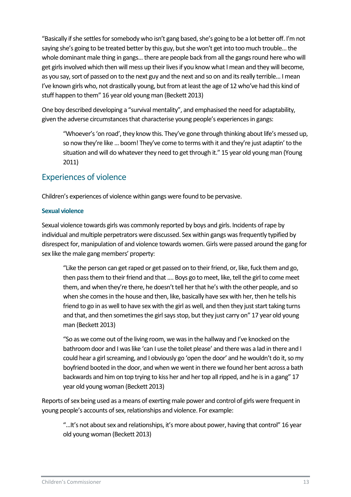"Basically if she settles for somebody who isn't gang based, she's going to be a lot better off. I'm not saying she's going to be treated better by this guy, but she won't get into too much trouble... the whole dominant male thing in gangs... there are people back from all the gangs round here who will get girls involved which then will mess up their lives if you know what I mean and they will become, as you say, sort of passed on to the next guy and the next and so on and its really terrible... I mean I've known girls who, not drastically young, but from at least the age of 12 who've had this kind of stuff happen to them" 16 year old young man (Beckett 2013)

One boy described developing a "survival mentality", and emphasised the need for adaptability, given the adverse circumstances that characterise young people's experiences in gangs:

"Whoever's 'on road', they know this. They've gone through thinking about life's messed up, so now they're like … boom! They've come to terms with it and they're just adaptin' to the situation and will do whatever they need to get through it." 15 year old young man (Young 2011)

### <span id="page-13-0"></span>Experiences of violence

Children's experiences of violence within gangs were found to be pervasive.

#### <span id="page-13-1"></span>**Sexual violence**

Sexual violence towards girls was commonly reported by boys and girls. Incidents of rape by individual and multiple perpetrators were discussed. Sex within gangs was frequently typified by disrespect for, manipulation of and violence towards women. Girls were passed around the gang for sex like the male gang members' property:

"Like the person can get raped or get passed on to their friend, or, like, fuck them and go, then pass them to their friend and that …. Boys go to meet, like, tell the girl to come meet them, and when they're there, he doesn't tell her that he's with the other people, and so when she comes in the house and then, like, basically have sex with her, then he tells his friend to go in as well to have sex with the girl as well, and then they just start taking turns and that, and then sometimes the girl says stop, but they just carry on" 17 year old young man (Beckett 2013)

"So as we come out of the living room, we was in the hallway and I've knocked on the bathroom door and I was like 'can I use the toilet please' and there was a lad in there and I could hear a girl screaming, and I obviously go 'open the door' and he wouldn't do it, so my boyfriend booted in the door, and when we went in there we found her bent across a bath backwards and him on top trying to kiss her and her top all ripped, and he is in a gang" 17 year old young woman (Beckett 2013)

Reports of sex being used as a means of exerting male power and control of girls were frequent in young people's accounts of sex, relationships and violence. For example:

"...It's not about sex and relationships, it's more about power, having that control" 16 year old young woman (Beckett 2013)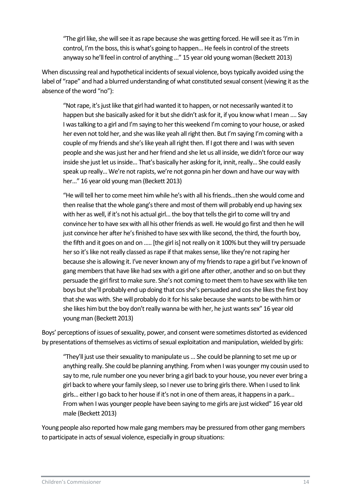"The girl like, she will see it as rape because she was getting forced. He will see it as 'I'm in control, I'm the boss, this is what's going to happen... He feels in control of the streets anyway so he'll feel in control of anything …" 15 year old young woman (Beckett 2013)

When discussing real and hypothetical incidents of sexual violence, boys typically avoided using the label of "rape" and had a blurred understanding of what constituted sexual consent (viewing it as the absence of the word "no"):

"Not rape, it's just like that girl had wanted it to happen, or not necessarily wanted it to happen but she basically asked for it but she didn't ask for it, if you know what I mean …. Say I was talking to a girl and I'm saying to her this weekend I'm coming to your house, or asked her even not told her, and she was like yeah all right then. But I'm saying I'm coming with a couple of my friends and she's like yeah all right then. If I got there and I was with seven people and she was just her and her friend and she let us all inside, we didn't force our way inside she just let us inside... That's basically her asking for it, innit, really... She could easily speak up really... We're not rapists, we're not gonna pin her down and have our way with her..." 16 year old young man (Beckett 2013)

"He will tell her to come meet him while he's with all his friends...then she would come and then realise that the whole gang's there and most of them will probably end up having sex with her as well, if it's not his actual girl... the boy that tells the girl to come will try and convince her to have sex with all his other friends as well. He would go first and then he will just convince her after he's finished to have sex with like second, the third, the fourth boy, the fifth and it goes on and on ….. [the girl is] not really on it 100% but they will try persuade her so it's like not really classed as rape if that makes sense, like they're not raping her because she is allowing it. I've never known any of my friends to rape a girl but I've known of gang members that have like had sex with a girl one after other, another and so on but they persuade the girl first to make sure. She's not coming to meet them to have sex with like ten boys but she'll probably end up doing that cos she's persuaded and cos she likes the first boy that she was with. She will probably do it for his sake because she wants to be with him or she likes him but the boy don't really wanna be with her, he just wants sex" 16 year old young man (Beckett 2013)

Boys' perceptions of issues of sexuality, power, and consent were sometimes distorted as evidenced by presentations of themselves as victims of sexual exploitation and manipulation, wielded by girls:

"They'll just use their sexuality to manipulate us… She could be planning to set me up or anything really. She could be planning anything. From when I was younger my cousin used to say to me, rule number one you never bring a girl back to your house, you never ever bring a girl back to where your family sleep, so I never use to bring girls there. When I used to link girls... either I go back to her house if it's not in one of them areas, it happens in a park... From when I was younger people have been saying to me girls are just wicked" 16 year old male (Beckett 2013)

Young people also reported how male gang members may be pressured from other gang members to participate in acts of sexual violence, especially in group situations: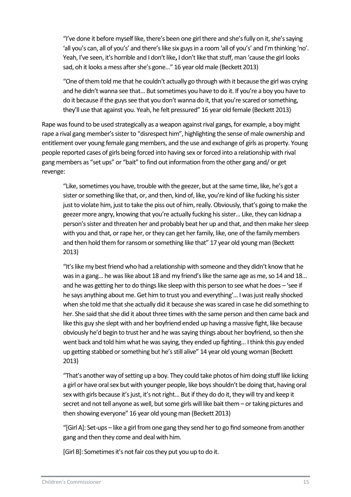"I've done it before myself like, there's been one girl there and she's fully on it, she's saying 'all you's can, all of you's' and there's like six guys in a room 'all of you's' and I'm thinking 'no'. Yeah, I've seen, it's horrible and I don't like**,** I don't like that stuff, man 'cause the girl looks sad, oh it looks a mess after she's gone…" 16 year old male (Beckett 2013)

"One of them told me that he couldn't actually go through with it because the girl was crying and he didn't wanna see that... But sometimes you have to do it. If you're a boy you have to do it because if the guys see that you don't wanna do it, that you're scared or something, they'll use that against you. Yeah, he felt pressured" 16 year old female (Beckett 2013)

Rape was found to be used strategically as a weapon against rival gangs, for example, a boy might rape a rival gang member's sister to "disrespect him", highlighting the sense of male ownership and entitlement over young female gang members, and the use and exchange of girls as property. Young people reported cases of girls being forced into having sex or forced into a relationship with rival gang members as "set ups" or "bait" to find out information from the other gang and/ or get revenge:

"Like, sometimes you have, trouble with the geezer, but at the same time, like, he's got a sister or something like that, or, and then, kind of, like, you're kind of like fucking his sister just to violate him, just to take the piss out of him, really. Obviously, that's going to make the geezer more angry, knowing that you're actually fucking his sister... Like, they can kidnap a person's sister and threaten her and probably beat her up and that, and then make her sleep with you and that, or rape her, or they can get her family, like, one of the family members and then hold them for ransom or something like that" 17 year old young man (Beckett 2013)

"It's like my best friend who had a relationship with someone and they didn't know that he was in a gang... he was like about 18 and my friend's like the same age as me, so 14 and 18... and he was getting her to do things like sleep with this person to see what he does – 'see if he says anything about me. Get him to trust you and everything'... I was just really shocked when she told me that she actually did it because she was scared in case he did something to her. She said that she did it about three times with the same person and then came back and like this guy she slept with and her boyfriend ended up having a massive fight, like because obviously he'd begin to trust her and he was saying things about her boyfriend, so then she went back and told him what he was saying, they ended up fighting... I think this guy ended up getting stabbed or something but he's still alive" 14 year old young woman (Beckett 2013)

"That's another way of setting up a boy. They could take photos of him doing stuff like licking a girl or have oral sex but with younger people, like boys shouldn't be doing that, having oral sex with girls because it's just, it's not right... But if they do do it, they will try and keep it secret and not tell anyone as well, but some girls will like bait them – or taking pictures and then showing everyone" 16 year old young man (Beckett 2013)

"[Girl A]: Set-ups – like a girl from one gang they send her to go find someone from another gang and then they come and deal with him.

[Girl B]: Sometimes it's not fair cos they put you up to do it.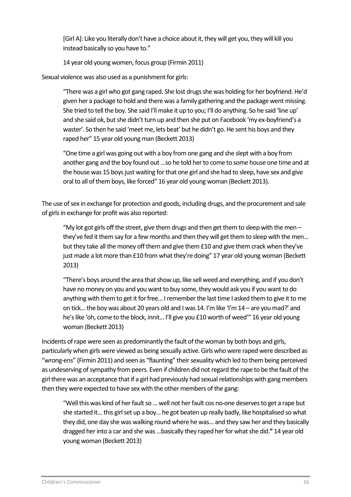[Girl A]: Like you literally don't have a choice about it, they will get you, they will kill you instead basically so you have to."

14 year old young women, focus group (Firmin 2011)

Sexual violence was also used as a punishment for girls:

"There was a girl who got gang raped. She lost drugs she was holding for her boyfriend. He'd given her a package to hold and there was a family gathering and the package went missing. She tried to tell the boy. She said I'll make it up to you; I'll do anything. So he said 'line up' and she said ok, but she didn't turn up and then she put on Facebook 'my ex-boyfriend's a waster'. So then he said 'meet me, lets beat' but he didn't go. He sent his boys and they raped her" 15 year old young man (Beckett 2013)

"One time a girl was going out with a boy from one gang and she slept with a boy from another gang and the boy found out …so he told her to come to some house one time and at the house was 15 boys just waiting for that one girl and she had to sleep, have sex and give oral to all of them boys, like forced" 16 year old young woman (Beckett 2013).

The use of sex in exchange for protection and goods, including drugs, and the procurement and sale of girls in exchange for profit was also reported:

"My lot got girls off the street, give them drugs and then get them to sleep with the men  $$ they've fed it them say for a few months and then they will get them to sleep with the men... but they take all the money off them and give them £10 and give them crack when they've just made a lot more than £10 from what they're doing" 17 year old young woman (Beckett 2013)

"There's boys around the area that show up, like sell weed and everything, and if you don't have no money on you and you want to buy some, they would ask you if you want to do anything with them to get it for free... I remember the last time I asked them to give it to me on tick... the boy was about 20 years old and I was 14. I'm like 'I'm 14 – are you mad?' and he's like 'oh, come to the block, innit... I'll give you £10 worth of weed" 16 year old young woman (Beckett 2013)

Incidents of rape were seen as predominantly the fault of the woman by both boys and girls, particularly when girls were viewed as being sexually active. Girls who were raped were described as "wrong-ens" (Firmin 2011) and seen as "flaunting" their sexuality which led to them being perceived as undeserving of sympathy from peers. Even if children did not regard the rape to be the fault of the girl there was an acceptance that if a girl had previously had sexual relationships with gang members then they were expected to have sex with the other members of the gang:

"Well this was kind of her fault so ... well not her fault cos no-one deserves to get a rape but she started it... this girl set up a boy... he got beaten up really badly, like hospitalised so what they did, one day she was walking round where he was... and they saw her and they basically dragged her into a car and she was ...basically they raped her for what she did.**"** 14 year old young woman (Beckett 2013)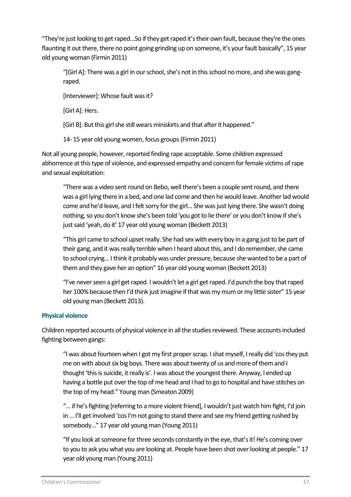"They're just looking to get raped…So if they get raped it's their own fault, because they're the ones flaunting it out there, there no point going grinding up on someone, it's your fault basically", 15 year old young woman (Firmin 2011)

"[Girl A]: There was a girl in our school, she's not in this school no more, and she was gangraped.

[Interviewer]: Whose fault was it?

[Girl A]: Hers.

[Girl B]: But this girl she still wears miniskirts and that after it happened."

14- 15 year old young women, focus groups (Firmin 2011)

Not all young people, however, reported finding rape acceptable. Some children expressed abhorrence at this type of violence, and expressed empathy and concern for female victims of rape and sexual exploitation:

"There was a video sent round on Bebo, well there's been a couple sent round, and there was a girl lying there in a bed, and one lad come and then he would leave. Another lad would come and he'd leave, and I felt sorry for the girl... She was just lying there. She wasn't doing nothing, so you don't know she's been told 'you got to lie there' or you don't know if she's just said 'yeah, do it' 17 year old young woman (Beckett 2013)

"This girl came to school upset really. She had sex with every boy in a gang just to be part of their gang, and it was really terrible when I heard about this, and I do remember, she came to school crying... I think it probably was under pressure, because she wanted to be a part of them and they gave her an option" 16 year old young woman (Beckett 2013)

"I've never seen a girl get raped. I wouldn't let a girl get raped. I'd punch the boy that raped her 100% because then I'd think just imagine if that was my mum or my little sister" 15 year old young man (Beckett 2013).

#### <span id="page-17-0"></span>**Physical violence**

Children reported accounts of physical violence in all the studies reviewed. These accounts included fighting between gangs:

"I was about fourteen when I got my first proper scrap. I shat myself, I really did ʻcos they put me on with about six big boys. There was about twenty of us and more of them and I thought ʻthis is suicide, it really is'. I was about the youngest there. Anyway, I ended up having a bottle put over the top of me head and I had to go to hospital and have stitches on the top of my head." Young man (Smeaton 2009)

"… if he's fighting [referring to a more violent friend], I wouldn't just watch him fight, I'd join in … I'll get involved 'cos I'm not going to stand there and see my friend getting rushed by somebody…" 17 year old young man (Young 2011)

"If you look at someone for three seconds constantly in the eye, that's it! He's coming over to you to ask you what you are looking at. People have been shot over looking at people." 17 year old young man (Young 2011)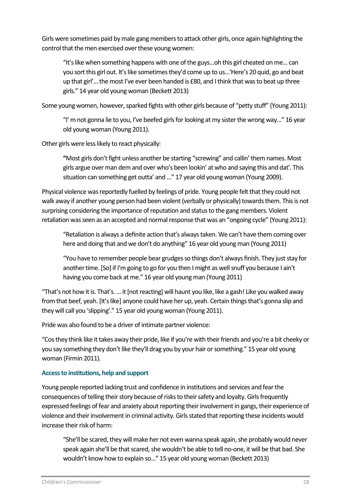Girls were sometimes paid by male gang members to attack other girls, once again highlighting the control that the men exercised over these young women:

"It's like when something happens with one of the guys...oh this girl cheated on me... can you sort this girl out. It's like sometimes they'd come up to us...'Here's 20 quid, go and beat up that girl'... the most I've ever been handed is £80, and I think that was to beat up three girls." 14 year old young woman (Beckett 2013)

Some young women, however, sparked fights with other girls because of "petty stuff" (Young 2011):

"I' m not gonna lie to you, I've beefed girls for looking at my sister the wrong way..." 16 year old young woman (Young 2011).

Other girls were less likely to react physically:

**"**Most girls don't fight unless another be starting "screwing" and callin' them names. Most girls argue over man dem and over who's been lookin' at who and saying this and dat'. This situation can something get outta' and …" 17 year old young woman (Young 2009).

Physical violence was reportedly fuelled by feelings of pride. Young people felt that they could not walk away if another young person had been violent (verbally or physically) towards them. This is not surprising considering the importance of reputation and status to the gang members. Violent retaliation was seen as an accepted and normal response that was an "ongoing cycle" (Young 2011):

"Retaliation is always a definite action that's always taken. We can't have them coming over here and doing that and we don't do anything" 16 year old young man (Young 2011)

"You have to remember people bear grudges so things don't always finish. They just stay for another time. [So] if I'm going to go for you then I might as well snuff you because I ain't having you come back at me." 16 year old young man (Young 2011)

"That's not how it is. That's. … it [not reacting] will haunt you like, like a gash! Like you walked away from that beef, yeah. [It's like] anyone could have her up, yeah. Certain things that's gonna slip and they will call you 'slipping'." 15 year old young woman (Young 2011).

Pride was also found to be a driver of intimate partner violence:

"Cos they think like it takes away their pride, like if you're with their friends and you're a bit cheeky or you say something they don't like they'll drag you by your hair or something." 15 year old young woman (Firmin 2011).

#### <span id="page-18-0"></span>**Access to institutions, help and support**

Young people reported lacking trust and confidence in institutions and services and fear the consequences of telling their story because of risks to their safety and loyalty. Girls frequently expressed feelings of fear and anxiety about reporting their involvement in gangs, their experience of violence and their involvement in criminal activity. Girls stated that reporting these incidents would increase their risk of harm:

"She'll be scared, they will make her not even wanna speak again, she probably would never speak again she'll be that scared, she wouldn't be able to tell no-one, it will be that bad. She wouldn't know how to explain so..." 15 year old young woman (Beckett 2013)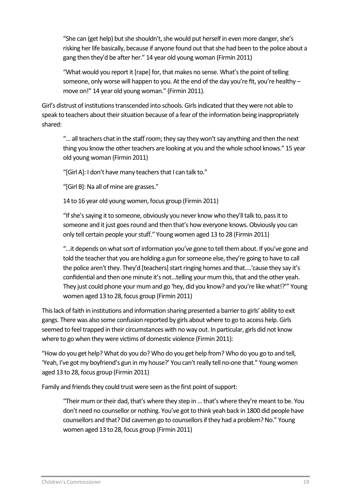"She can (get help) but she shouldn't, she would put herself in even more danger, she's risking her life basically, because if anyone found out that she had been to the police about a gang then they'd be after her." 14 year old young woman (Firmin 2011)

"What would you report it [rape] for, that makes no sense. What's the point of telling someone, only worse will happen to you. At the end of the day you're fit, you're healthy move on!" 14 year old young woman." (Firmin 2011).

Girl's distrust of institutions transcended into schools. Girls indicated that they were not able to speak to teachers about their situation because of a fear of the information being inappropriately shared:

"… all teachers chat in the staff room; they say they won't say anything and then the next thing you know the other teachers are looking at you and the whole school knows." 15 year old young woman (Firmin 2011)

"[Girl A]: I don't have many teachers that I can talk to."

"[Girl B]: Na all of mine are grasses."

14 to 16 year old young women, focus group (Firmin 2011)

"If she's saying it to someone, obviously you never know who they'll talk to, pass it to someone and it just goes round and then that's how everyone knows. Obviously you can only tell certain people your stuff." Young women aged 13 to 28 (Firmin 2011)

"…it depends on what sort of information you've gone to tell them about. If you've gone and told the teacher that you are holding a gun for someone else, they're going to have to call the police aren't they. They'd [teachers] start ringing homes and that….'cause they say it's confidential and then one minute it's not…telling your mum this, that and the other yeah. They just could phone your mum and go 'hey, did you know? and you're like what!?'" Young women aged 13 to 28, focus group (Firmin 2011)

This lack of faith in institutions and information sharing presented a barrier to girls' ability to exit gangs. There was also some confusion reported by girls about where to go to access help. Girls seemed to feel trapped in their circumstances with no way out. In particular, girls did not know where to go when they were victims of domestic violence (Firmin 2011):

"How do you get help? What do you do? Who do you get help from? Who do you go to and tell, 'Yeah, I've got my boyfriend's gun in my house?' You can't really tell no-one that." Young women aged 13 to 28, focus group (Firmin 2011)

Family and friends they could trust were seen as the first point of support:

"Their mum or their dad, that's where they step in ... that's where they're meant to be. You don't need no counsellor or nothing. You've got to think yeah back in 1800 did people have counsellors and that? Did cavemen go to counsellors if they had a problem? No." Young women aged 13 to 28, focus group (Firmin 2011)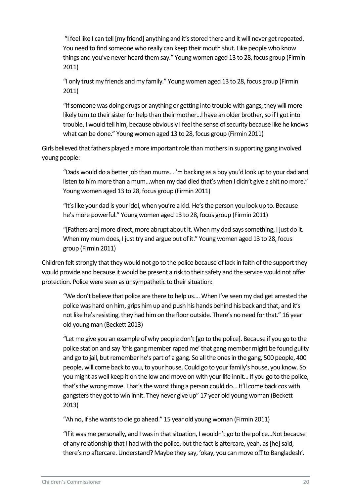"I feel like I can tell [my friend] anything and it's stored there and it will never get repeated. You need to find someone who really can keep their mouth shut. Like people who know things and you've never heard them say." Young women aged 13 to 28, focus group (Firmin 2011)

"I only trust my friends and my family." Young women aged 13 to 28, focus group (Firmin 2011)

"If someone was doing drugs or anything or getting into trouble with gangs, they will more likely turn to their sister for help than their mother…I have an older brother, so if I got into trouble, I would tell him, because obviously I feel the sense of security because like he knows what can be done." Young women aged 13 to 28, focus group (Firmin 2011)

Girls believed that fathers played a more important role than mothers in supporting gang involved young people:

"Dads would do a better job than mums…I'm backing as a boy you'd look up to your dad and listen to him more than a mum...when my dad died that's when I didn't give a shit no more." Young women aged 13 to 28, focus group (Firmin 2011)

"It's like your dad is your idol, when you're a kid. He's the person you look up to. Because he's more powerful." Young women aged 13 to 28, focus group (Firmin 2011)

"[Fathers are] more direct, more abrupt about it. When my dad says something, I just do it. When my mum does, I just try and argue out of it." Young women aged 13 to 28, focus group (Firmin 2011)

Children felt strongly that they would not go to the police because of lack in faith of the support they would provide and because it would be present a risk to their safety and the service would not offer protection. Police were seen as unsympathetic to their situation:

"We don't believe that police are there to help us.... When I've seen my dad get arrested the police was hard on him, grips him up and push his hands behind his back and that, and it's not like he's resisting, they had him on the floor outside. There's no need for that." 16 year old young man (Beckett 2013)

"Let me give you an example of why people don't [go to the police]. Because if you go to the police station and say 'this gang member raped me' that gang member might be found guilty and go to jail, but remember he's part of a gang. So all the ones in the gang, 500 people, 400 people, will come back to you, to your house. Could go to your family's house, you know. So you might as well keep it on the low and move on with your life innit... If you go to the police, that's the wrong move. That's the worst thing a person could do... It'll come back cos with gangsters they got to win innit. They never give up" 17 year old young woman (Beckett 2013)

"Ah no, if she wants to die go ahead." 15 year old young woman (Firmin 2011)

"If it was me personally, and I was in that situation, I wouldn't go to the police...Not because of any relationship that I had with the police, but the fact is aftercare, yeah, as [he] said, there's no aftercare. Understand? Maybe they say, 'okay, you can move off to Bangladesh'.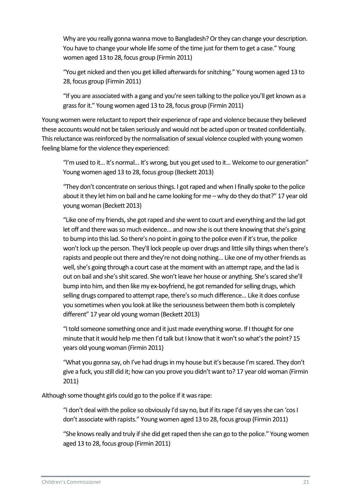Why are you really gonna wanna move to Bangladesh? Or they can change your description. You have to change your whole life some of the time just for them to get a case." Young women aged 13 to 28, focus group (Firmin 2011)

"You get nicked and then you get killed afterwards for snitching." Young women aged 13 to 28, focus group (Firmin 2011)

"If you are associated with a gang and you're seen talking to the police you'll get known as a grass for it." Young women aged 13 to 28, focus group (Firmin 2011)

Young women were reluctant to report their experience of rape and violence because they believed these accounts would not be taken seriously and would not be acted upon or treated confidentially. This reluctance was reinforced by the normalisation of sexual violence coupled with young women feeling blame for the violence they experienced:

"I'm used to it... It's normal... It's wrong, but you get used to it... Welcome to our generation" Young women aged 13 to 28, focus group (Beckett 2013)

"They don't concentrate on serious things. I got raped and when I finally spoke to the police about it they let him on bail and he came looking for me – why do they do that?" 17 year old young woman (Beckett 2013)

"Like one of my friends, she got raped and she went to court and everything and the lad got let off and there was so much evidence... and now she is out there knowing that she's going to bump into this lad. So there's no point in going to the police even if it's true, the police won't lock up the person. They'll lock people up over drugs and little silly things when there's rapists and people out there and they're not doing nothing... Like one of my other friends as well, she's going through a court case at the moment with an attempt rape, and the lad is out on bail and she's shit scared. She won't leave her house or anything. She's scared she'll bump into him, and then like my ex-boyfriend, he got remanded for selling drugs, which selling drugs compared to attempt rape, there's so much difference... Like it does confuse you sometimes when you look at like the seriousness between them both is completely different" 17 year old young woman (Beckett 2013)

"I told someone something once and it just made everything worse. If I thought for one minute that it would help me then I'd talk but I know that it won't so what's the point? 15 years old young woman (Firmin 2011)

"What you gonna say, oh I've had drugs in my house but it's because I'm scared. They don't give a fuck, you still did it; how can you prove you didn't want to? 17 year old woman (Firmin 2011)

Although some thought girls could go to the police if it was rape:

"I don't deal with the police so obviously I'd say no, but if its rape I'd say yes she can 'cos I don't associate with rapists." Young women aged 13 to 28, focus group (Firmin 2011)

"She knows really and truly if she did get raped then she can go to the police." Young women aged 13 to 28, focus group (Firmin 2011)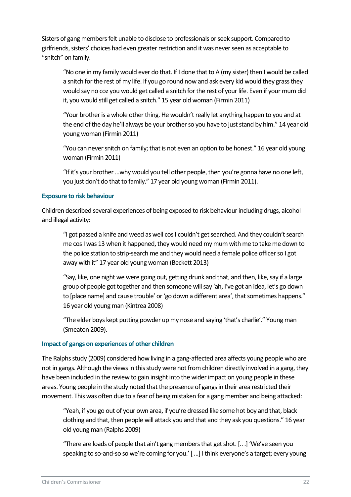Sisters of gang members felt unable to disclose to professionals or seek support. Compared to girlfriends, sisters' choices had even greater restriction and it was never seen as acceptable to "snitch" on family.

"No one in my family would ever do that. If I done that to A (my sister) then I would be called a snitch for the rest of my life. If you go round now and ask every kid would they grass they would say no coz you would get called a snitch for the rest of your life. Even if your mum did it, you would still get called a snitch." 15 year old woman (Firmin 2011)

"Your brother is a whole other thing. He wouldn't really let anything happen to you and at the end of the day he'll always be your brother so you have to just stand by him." 14 year old young woman (Firmin 2011)

"You can never snitch on family; that is not even an option to be honest." 16 year old young woman (Firmin 2011)

"If it's your brother …why would you tell other people, then you're gonna have no one left, you just don't do that to family." 17 year old young woman (Firmin 2011).

#### <span id="page-22-0"></span>**Exposure to risk behaviour**

Children described several experiences of being exposed to risk behaviour including drugs, alcohol and illegal activity:

"I got passed a knife and weed as well cos I couldn't get searched. And they couldn't search me cos I was 13 when it happened, they would need my mum with me to take me down to the police station to strip-search me and they would need a female police officer so I got away with it" 17 year old young woman (Beckett 2013)

"Say, like, one night we were going out, getting drunk and that, and then, like, say if a large group of people got together and then someone will say 'ah, I've got an idea, let's go down to [place name] and cause trouble' or 'go down a different area', that sometimes happens." 16 year old young man (Kintrea 2008)

"The elder boys kept putting powder up my nose and saying ʻthat's charlie'." Young man (Smeaton 2009).

#### <span id="page-22-1"></span>**Impact of gangs on experiences of other children**

The Ralphs study (2009) considered how living in a gang-affected area affects young people who are not in gangs. Although the views in this study were not from children directly involved in a gang, they have been included in the review to gain insight into the wider impact on young people in these areas. Young people in the study noted that the presence of gangs in their area restricted their movement. This was often due to a fear of being mistaken for a gang member and being attacked:

"Yeah, if you go out of your own area, if you're dressed like some hot boy and that, black clothing and that, then people will attack you and that and they ask you questions." 16 year old young man (Ralphs 2009)

"There are loads of people that ain't gang members that get shot. [.. .] 'We've seen you speaking to so-and-so so we're coming for you.' [ ...] I think everyone's a target; every young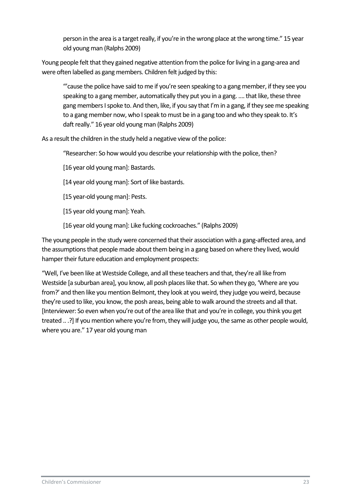person in the area is a target really, if you're in the wrong place at the wrong time." 15 year old young man (Ralphs 2009)

Young people felt that they gained negative attention from the police for living in a gang-area and were often labelled as gang members. Children felt judged by this:

"'cause the police have said to me if you're seen speaking to a gang member, if they see you speaking to a gang member, automatically they put you in a gang. …. that like, these three gang members I spoke to. And then, like, if you say that I'm in a gang, if they see me speaking to a gang member now, who I speak to must be in a gang too and who they speak to. It's daft really." 16 year old young man (Ralphs 2009)

As a result the children in the study held a negative view of the police:

"Researcher: So how would you describe your relationship with the police, then?

[16 year old young man]: Bastards.

- [14 year old young man]: Sort of like bastards.
- [15 year-old young man]: Pests.
- [15 year old young man]: Yeah.
- [16 year old young man]: Like fucking cockroaches." (Ralphs 2009)

The young people in the study were concerned that their association with a gang-affected area, and the assumptions that people made about them being in a gang based on where they lived, would hamper their future education and employment prospects:

<span id="page-23-0"></span>"Well, I've been like at Westside College, and all these teachers and that, they're all like from Westside [a suburban area], you know, all posh places like that. So when they go, 'Where are you from?' and then like you mention Belmont, they look at you weird, they judge you weird, because they're used to like, you know, the posh areas, being able to walk around the streets and all that. [Interviewer: So even when you're out of the area like that and you're in college, you think you get treated .. .?] If you mention where you're from, they will judge you, the same as other people would, where you are." 17 year old young man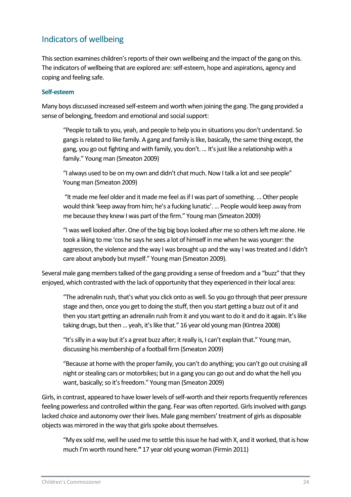# Indicators of wellbeing

This section examines children's reports of their own wellbeing and the impact of the gang on this. The indicators of wellbeing that are explored are: self-esteem, hope and aspirations, agency and coping and feeling safe.

#### <span id="page-24-0"></span>**Self-esteem**

Many boys discussed increased self-esteem and worth when joining the gang. The gang provided a sense of belonging, freedom and emotional and social support:

"People to talk to you, yeah, and people to help you in situations you don't understand. So gangs is related to like family. A gang and family is like, basically, the same thing except, the gang, you go out fighting and with family, you don't. … It's just like a relationship with a family." Young man (Smeaton 2009)

"I always used to be on my own and didn't chat much. Now I talk a lot and see people" Young man (Smeaton 2009)

"It made me feel older and it made me feel as if I was part of something. … Other people would think 'keep away from him; he's a fucking lunatic'. … People would keep away from me because they knew I was part of the firm." Young man (Smeaton 2009)

"I was well looked after. One of the big big boys looked after me so others left me alone. He took a liking to me ʻcos he says he sees a lot of himself in me when he was younger: the aggression, the violence and the way I was brought up and the way I was treated and I didn't care about anybody but myself." Young man (Smeaton 2009).

Several male gang members talked of the gang providing a sense of freedom and a "buzz" that they enjoyed, which contrasted with the lack of opportunity that they experienced in their local area:

"The adrenalin rush, that's what you click onto as well. So you go through that peer pressure stage and then, once you get to doing the stuff, then you start getting a buzz out of it and then you start getting an adrenalin rush from it and you want to do it and do it again. It's like taking drugs, but then … yeah, it's like that." 16 year old young man (Kintrea 2008)

"It's silly in a way but it's a great buzz after; it really is, I can't explain that." Young man, discussing his membership of a football firm (Smeaton 2009)

"Because at home with the proper family, you can't do anything; you can't go out cruising all night or stealing cars or motorbikes; but in a gang you can go out and do what the hell you want, basically; so it's freedom." Young man (Smeaton 2009)

Girls, in contrast, appeared to have lower levels of self-worth and their reports frequently references feeling powerless and controlled within the gang. Fear was often reported. Girls involved with gangs lacked choice and autonomy over their lives. Male gang members' treatment of girls as disposable objects was mirrored in the way that girls spoke about themselves.

"My ex sold me, well he used me to settle this issue he had with X, and it worked, that is how much I'm worth round here.**"** 17 year old young woman (Firmin 2011)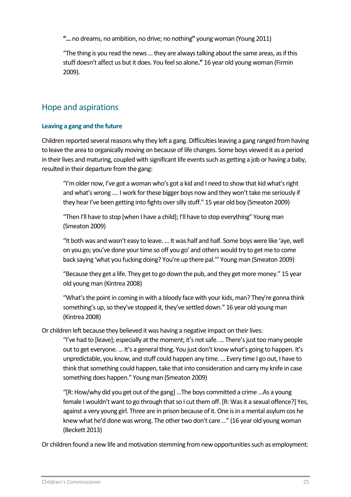**"…** no dreams, no ambition, no drive; no nothing**"** young woman (Young 2011)

"The thing is you read the news … they are always talking about the same areas, as if this stuff doesn't affect us but it does. You feel so alone**."** 16 year old young woman (Firmin 2009).

### <span id="page-25-0"></span>Hope and aspirations

#### <span id="page-25-1"></span>**Leaving a gang and the future**

Children reported several reasons why they left a gang. Difficulties leaving a gang ranged from having to leave the area to organically moving on because of life changes. Some boys viewed it as a period in their lives and maturing, coupled with significant life events such as getting a job or having a baby, resulted in their departure from the gang:

"I'm older now, I've got a woman who's got a kid and I need to show that kid what's right and what's wrong …. I work for these bigger boys now and they won't take me seriously if they hear I've been getting into fights over silly stuff." 15 year old boy (Smeaton 2009)

"Then I'll have to stop [when I have a child]; I'll have to stop everything" Young man (Smeaton 2009)

"It both was and wasn't easy to leave. … It was half and half. Some boys were like ʻaye, well on you go; you've done your time so off you go' and others would try to get me to come back saying ʻwhat you fucking doing? You're up there pal.'" Young man (Smeaton 2009)

"Because they get a life. They get to go down the pub, and they get more money." 15 year old young man (Kintrea 2008)

"What's the point in coming in with a bloody face with your kids, man? They're gonna think something's up, so they've stopped it, they've settled down." 16 year old young man (Kintrea 2008)

Or children left because they believed it was having a negative impact on their lives:

"I've had to [leave]; especially at the moment; it's not safe. … There's just too many people out to get everyone. … It's a general thing. You just don't know what's going to happen. It's unpredictable, you know, and stuff could happen any time. … Every time I go out, I have to think that something could happen, take that into consideration and carry my knife in case something does happen." Young man (Smeaton 2009)

"[R: How/why did you get out of the gang] ...The boys committed a crime ...As a young female I wouldn't want to go through that so I cut them off. [R: Was it a sexual offence?] Yes, against a very young girl. Three are in prison because of it. One is in a mental asylum cos he knew what he'd done was wrong. The other two don't care …" (16 year old young woman (Beckett 2013)

Or children found a new life and motivation stemming from new opportunities such as employment: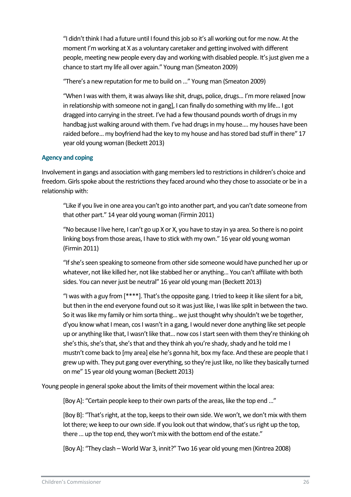"I didn't think I had a future until I found this job so it's all working out for me now. At the moment I'm working at X as a voluntary caretaker and getting involved with different people, meeting new people every day and working with disabled people. It's just given me a chance to start my life all over again." Young man (Smeaton 2009)

"There's a new reputation for me to build on …" Young man (Smeaton 2009)

"When I was with them, it was always like shit, drugs, police, drugs... I'm more relaxed [now in relationship with someone not in gang], I can finally do something with my life... I got dragged into carrying in the street. I've had a few thousand pounds worth of drugs in my handbag just walking around with them. I've had drugs in my house.... my houses have been raided before... my boyfriend had the key to my house and has stored bad stuff in there" 17 year old young woman (Beckett 2013)

#### <span id="page-26-0"></span>**Agency and coping**

Involvement in gangs and association with gang members led to restrictions in children's choice and freedom. Girls spoke about the restrictions they faced around who they chose to associate or be in a relationship with:

"Like if you live in one area you can't go into another part, and you can't date someone from that other part." 14 year old young woman (Firmin 2011)

"No because I live here, I can't go up X or X, you have to stay in ya area. So there is no point linking boys from those areas, I have to stick with my own." 16 year old young woman (Firmin 2011)

"If she's seen speaking to someone from other side someone would have punched her up or whatever, not like killed her, not like stabbed her or anything... You can't affiliate with both sides. You can never just be neutral" 16 year old young man (Beckett 2013)

"I was with a guy from [\*\*\*\*]. That's the opposite gang. I tried to keep it like silent for a bit, but then in the end everyone found out so it was just like, I was like split in between the two. So it was like my family or him sorta thing... we just thought why shouldn't we be together, d'you know what I mean, cos I wasn't in a gang, I would never done anything like set people up or anything like that, I wasn't like that… now cos I start seen with them they're thinking oh she's this, she's that, she's that and they think ah you're shady, shady and he told me I mustn't come back to [my area] else he's gonna hit, box my face. And these are people that I grew up with. They put gang over everything, so they're just like, no like they basically turned on me" 15 year old young woman (Beckett 2013)

Young people in general spoke about the limits of their movement within the local area:

[Boy A]: "Certain people keep to their own parts of the areas, like the top end …"

[Boy B]: "That's right, at the top, keeps to their own side. We won't, we don't mix with them lot there; we keep to our own side. If you look out that window, that's us right up the top, there … up the top end, they won't mix with the bottom end of the estate."

[Boy A]: "They clash – World War 3, innit?" Two 16 year old young men (Kintrea 2008)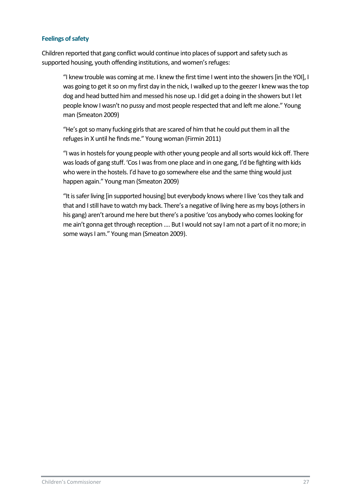#### <span id="page-27-0"></span>**Feelings of safety**

Children reported that gang conflict would continue into places of support and safety such as supported housing, youth offending institutions, and women's refuges:

"I knew trouble was coming at me. I knew the first time I went into the showers [in the YOI], I was going to get it so on my first day in the nick, I walked up to the geezer I knew was the top dog and head butted him and messed his nose up. I did get a doing in the showers but I let people know I wasn't no pussy and most people respected that and left me alone." Young man (Smeaton 2009)

"He's got so many fucking girls that are scared of him that he could put them in all the refuges in X until he finds me." Young woman (Firmin 2011)

"I was in hostels for young people with other young people and allsorts would kick off. There was loads of gang stuff. ʻCos I was from one place and in one gang, I'd be fighting with kids who were in the hostels. I'd have to go somewhere else and the same thing would just happen again." Young man (Smeaton 2009)

"It is safer living [in supported housing] but everybody knows where I live ʻcos they talk and that and I still have to watch my back. There's a negative of living here as my boys (others in his gang) aren't around me here but there's a positive ʻcos anybody who comes looking for me ain't gonna get through reception …. But I would not say I am not a part of it no more; in some ways I am." Young man (Smeaton 2009).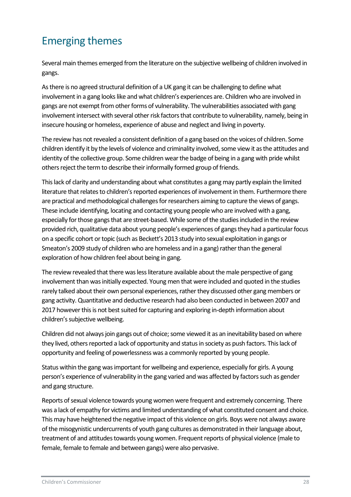# <span id="page-28-0"></span>Emerging themes

Several main themes emerged from the literature on the subjective wellbeing of children involved in gangs.

As there is no agreed structural definition of a UK gang it can be challenging to define what involvement in a gang looks like and what children's experiences are. Children who are involved in gangs are not exempt from other forms of vulnerability. The vulnerabilities associated with gang involvement intersect with several other risk factors that contribute to vulnerability, namely, being in insecure housing or homeless, experience of abuse and neglect and living in poverty.

The review has not revealed a consistent definition of a gang based on the voices of children. Some children identify it by the levels of violence and criminality involved, some view it as the attitudes and identity of the collective group. Some children wear the badge of being in a gang with pride whilst others reject the term to describe their informally formed group of friends.

This lack of clarity and understanding about what constitutes a gang may partly explain the limited literature that relates to children's reported experiences of involvement in them. Furthermore there are practical and methodological challenges for researchers aiming to capture the views of gangs. These include identifying, locating and contacting young people who are involved with a gang, especially for those gangs that are street-based. While some of the studies included in the review provided rich, qualitative data about young people's experiences of gangs they had a particular focus on a specific cohort or topic (such as Beckett's 2013 study into sexual exploitation in gangs or Smeaton's 2009 study of children who are homeless and in a gang) rather than the general exploration of how children feel about being in gang.

The review revealed that there was less literature available about the male perspective of gang involvement than was initially expected. Young men that were included and quoted in the studies rarely talked about their own personal experiences, rather they discussed other gang members or gang activity.Quantitative and deductive research had also been conducted in between 2007 and 2017 however this is not best suited for capturing and exploring in-depth information about children's subjective wellbeing.

Children did not always join gangs out of choice; some viewed it as an inevitability based on where they lived, others reported a lack of opportunity and status in society as push factors. This lack of opportunity and feeling of powerlessness was a commonly reported by young people.

Status within the gang was important for wellbeing and experience, especially for girls. A young person's experience of vulnerability in the gang varied and was affected by factors such as gender and gang structure.

Reports of sexual violence towards young women were frequent and extremely concerning. There was a lack of empathy for victims and limited understanding of what constituted consent and choice. This may have heightened the negative impact of this violence on girls. Boys were not always aware of the misogynistic undercurrents of youth gang cultures as demonstrated in their language about, treatment of and attitudes towards young women. Frequent reports of physical violence (male to female, female to female and between gangs) were also pervasive.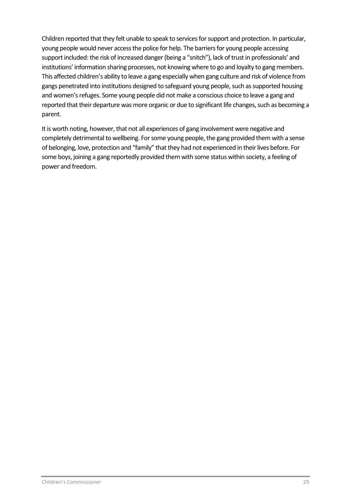Children reported that they felt unable to speak to services for support and protection. In particular, young people would never access the police for help. The barriers for young people accessing support included: the risk of increased danger (being a "snitch"), lack of trust in professionals' and institutions' information sharing processes, not knowing where to go and loyalty to gang members. This affected children's ability to leave a gang especially when gang culture and risk of violence from gangs penetrated into institutions designed to safeguard young people, such as supported housing and women's refuges. Some young people did not make a conscious choice to leave a gang and reported that their departure was more organic or due to significant life changes, such as becoming a parent.

It is worth noting, however, that not all experiences of gang involvement were negative and completely detrimental to wellbeing. For some young people, the gang provided them with a sense of belonging, love, protection and "family" that they had not experienced in their lives before. For some boys, joining a gang reportedly provided them with some status within society, a feeling of power and freedom.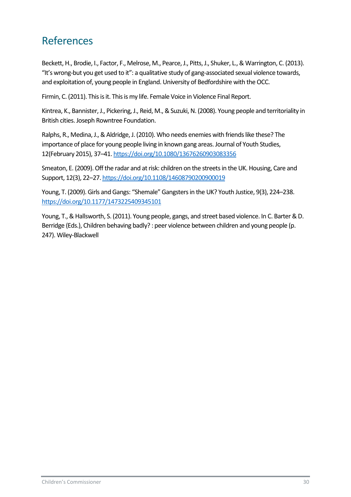# <span id="page-30-0"></span>References

Beckett, H., Brodie, I., Factor, F., Melrose, M., Pearce, J., Pitts, J., Shuker, L., & Warrington, C. (2013). "It's wrong-but you get used to it": a qualitative study of gang-associated sexual violence towards, and exploitation of, young people in England. University of Bedfordshire with the OCC.

Firmin, C. (2011). This is it. This is my life. Female Voice in Violence Final Report.

Kintrea, K., Bannister, J., Pickering, J., Reid, M., & Suzuki, N. (2008). Young people and territoriality in British cities. Joseph Rowntree Foundation.

Ralphs, R., Medina, J., & Aldridge, J. (2010). Who needs enemies with friends like these? The importance of place for young people living in known gang areas. Journal of Youth Studies, 12(February 2015), 37–41[. https://doi.org/10.1080/13676260903083356](https://doi.org/10.1080/13676260903083356)

Smeaton, E. (2009). Off the radar and at risk: children on the streets in the UK. Housing, Care and Support, 12(3), 22–27[. https://doi.org/10.1108/14608790200900019](https://doi.org/10.1108/14608790200900019)

Young, T. (2009). Girls and Gangs: "Shemale" Gangsters in the UK? Youth Justice, 9(3), 224–238. <https://doi.org/10.1177/1473225409345101>

<span id="page-30-1"></span>Young, T., & Hallsworth, S. (2011). Young people, gangs, and street based violence. In C. Barter & D. Berridge (Eds.), Children behaving badly? : peer violence between children and young people (p. 247). Wiley-Blackwell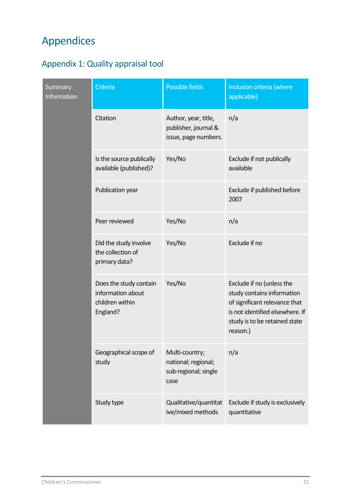# Appendices

# <span id="page-31-0"></span>Appendix 1: Quality appraisal tool

| Summary<br>Information | Criteria                                                                   | <b>Possible fields</b>                                                | Inclusion criteria (where<br>applicable)                                                                                                                                 |
|------------------------|----------------------------------------------------------------------------|-----------------------------------------------------------------------|--------------------------------------------------------------------------------------------------------------------------------------------------------------------------|
|                        | Citation                                                                   | Author, year, title,<br>publisher, journal &<br>issue, page numbers.  | n/a                                                                                                                                                                      |
|                        | Is the source publically<br>available (published)?                         | Yes/No                                                                | Exclude if not publically<br>available                                                                                                                                   |
|                        | Publication year                                                           |                                                                       | Exclude if published before<br>2007                                                                                                                                      |
|                        | Peer reviewed                                                              | Yes/No                                                                | n/a                                                                                                                                                                      |
|                        | Did the study involve<br>the collection of<br>primary data?                | Yes/No                                                                | Exclude if no                                                                                                                                                            |
|                        | Does the study contain<br>information about<br>children within<br>England? | Yes/No                                                                | Exclude if no (unless the<br>study contains information<br>of significant relevance that<br>is not identified elsewhere. If<br>study is to be retained state<br>reason.) |
|                        | Geographical scope of<br>study                                             | Multi-country;<br>national; regional;<br>sub-regional; single<br>case | n/a                                                                                                                                                                      |
|                        | Study type                                                                 | Qualitative/quantitat<br>ive/mixed methods                            | Exclude if study is exclusively<br>quantitative                                                                                                                          |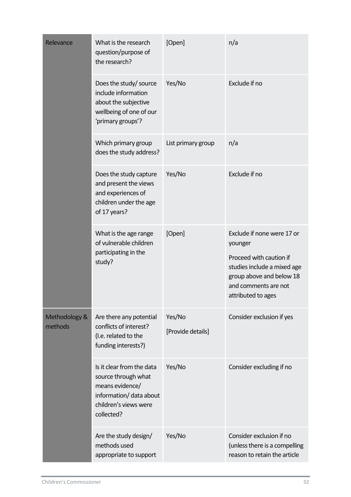| Relevance                | What is the research<br>question/purpose of<br>the research?                                                                          | [Open]                      | n/a                                                                                                                                                                       |
|--------------------------|---------------------------------------------------------------------------------------------------------------------------------------|-----------------------------|---------------------------------------------------------------------------------------------------------------------------------------------------------------------------|
|                          | Does the study/ source<br>include information<br>about the subjective<br>wellbeing of one of our<br>'primary groups'?                 | Yes/No                      | Exclude if no                                                                                                                                                             |
|                          | Which primary group<br>does the study address?                                                                                        | List primary group          | n/a                                                                                                                                                                       |
|                          | Does the study capture<br>and present the views<br>and experiences of<br>children under the age<br>of 17 years?                       | Yes/No                      | Exclude if no                                                                                                                                                             |
|                          | What is the age range<br>of vulnerable children<br>participating in the<br>study?                                                     | [Open]                      | Exclude if none were 17 or<br>younger<br>Proceed with caution if<br>studies include a mixed age<br>group above and below 18<br>and comments are not<br>attributed to ages |
| Methodology &<br>methods | Are there any potential<br>conflicts of interest?<br>(I.e. related to the<br>funding interests?)                                      | Yes/No<br>[Provide details] | Consider exclusion if yes                                                                                                                                                 |
|                          | Is it clear from the data<br>source through what<br>means evidence/<br>information/ data about<br>children's views were<br>collected? | Yes/No                      | Consider excluding if no                                                                                                                                                  |
|                          | Are the study design/<br>methods used<br>appropriate to support                                                                       | Yes/No                      | Consider exclusion if no<br>(unless there is a compelling<br>reason to retain the article                                                                                 |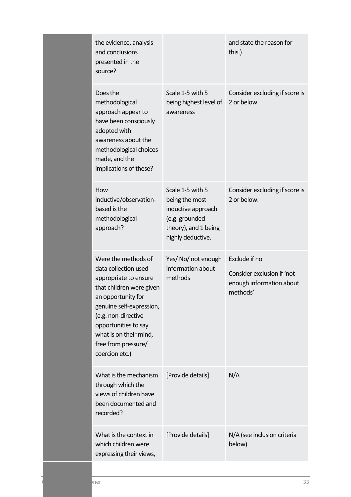|  | the evidence, analysis<br>and conclusions<br>presented in the<br>source?                                                                                                                                                                                             |                                                                                                                         | and state the reason for<br>this.)                                                  |
|--|----------------------------------------------------------------------------------------------------------------------------------------------------------------------------------------------------------------------------------------------------------------------|-------------------------------------------------------------------------------------------------------------------------|-------------------------------------------------------------------------------------|
|  | Does the<br>methodological<br>approach appear to<br>have been consciously<br>adopted with<br>awareness about the<br>methodological choices<br>made, and the<br>implications of these?                                                                                | Scale 1-5 with 5<br>being highest level of<br>awareness                                                                 | Consider excluding if score is<br>2 or below.                                       |
|  | How<br>inductive/observation-<br>based is the<br>methodological<br>approach?                                                                                                                                                                                         | Scale 1-5 with 5<br>being the most<br>inductive approach<br>(e.g. grounded<br>theory), and 1 being<br>highly deductive. | Consider excluding if score is<br>2 or below.                                       |
|  | Were the methods of<br>data collection used<br>appropriate to ensure<br>that children were given<br>an opportunity for<br>genuine self-expression,<br>(e.g. non-directive<br>opportunities to say<br>what is on their mind,<br>free from pressure/<br>coercion etc.) | Yes/ No/ not enough<br>information about<br>methods                                                                     | Exclude if no<br>Consider exclusion if 'not<br>enough information about<br>methods' |
|  | What is the mechanism<br>through which the<br>views of children have<br>been documented and<br>recorded?                                                                                                                                                             | [Provide details]                                                                                                       | N/A                                                                                 |
|  | What is the context in<br>which children were<br>expressing their views,                                                                                                                                                                                             | [Provide details]                                                                                                       | N/A (see inclusion criteria<br>below)                                               |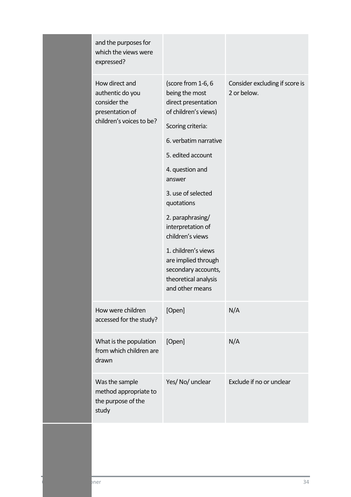| and the purposes for<br>which the views were<br>expressed?                                        |                                                                                                                                                                                                                                                                                                                                                                                                      |                                               |
|---------------------------------------------------------------------------------------------------|------------------------------------------------------------------------------------------------------------------------------------------------------------------------------------------------------------------------------------------------------------------------------------------------------------------------------------------------------------------------------------------------------|-----------------------------------------------|
| How direct and<br>authentic do you<br>consider the<br>presentation of<br>children's voices to be? | (score from 1-6, 6<br>being the most<br>direct presentation<br>of children's views)<br>Scoring criteria:<br>6. verbatim narrative<br>5. edited account<br>4. question and<br>answer<br>3. use of selected<br>quotations<br>2. paraphrasing/<br>interpretation of<br>children's views<br>1. children's views<br>are implied through<br>secondary accounts,<br>theoretical analysis<br>and other means | Consider excluding if score is<br>2 or below. |
| How were children<br>accessed for the study?                                                      | [Open]                                                                                                                                                                                                                                                                                                                                                                                               | N/A                                           |
| What is the population<br>from which children are<br>drawn                                        | [Open]                                                                                                                                                                                                                                                                                                                                                                                               | N/A                                           |
| Was the sample<br>method appropriate to<br>the purpose of the<br>study                            | Yes/No/ unclear                                                                                                                                                                                                                                                                                                                                                                                      | Exclude if no or unclear                      |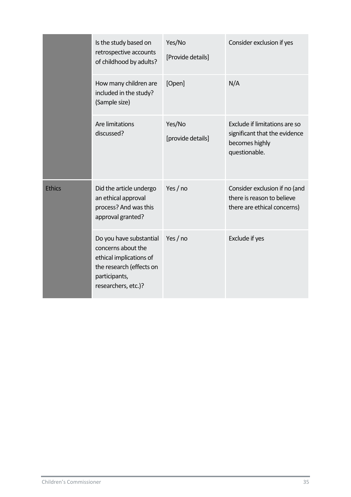|               | Is the study based on<br>retrospective accounts<br>of childhood by adults?                                                                   | Yes/No<br>[Provide details] | Consider exclusion if yes                                                                         |
|---------------|----------------------------------------------------------------------------------------------------------------------------------------------|-----------------------------|---------------------------------------------------------------------------------------------------|
|               | How many children are<br>included in the study?<br>(Sample size)                                                                             | [Open]                      | N/A                                                                                               |
|               | Are limitations<br>discussed?                                                                                                                | Yes/No<br>[provide details] | Exclude if limitations are so<br>significant that the evidence<br>becomes highly<br>questionable. |
| <b>Ethics</b> | Did the article undergo<br>an ethical approval<br>process? And was this<br>approval granted?                                                 | Yes $/$ no                  | Consider exclusion if no (and<br>there is reason to believe<br>there are ethical concerns)        |
|               | Do you have substantial<br>concerns about the<br>ethical implications of<br>the research (effects on<br>participants,<br>researchers, etc.)? | Yes / no                    | Exclude if yes                                                                                    |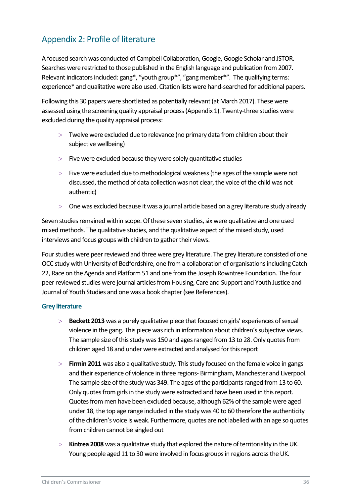## <span id="page-36-0"></span>Appendix 2: Profile of literature

A focused search was conducted of Campbell Collaboration, Google, Google Scholar and JSTOR. Searches were restricted to those published in the English language and publication from 2007. Relevant indicators included: gang\*, "youth group\*", "gang member\*". The qualifying terms: experience\* and qualitative were also used. Citation lists were hand-searched for additional papers.

Following this 30 papers were shortlisted as potentially relevant (at March 2017). These were assessed using the screening quality appraisal process (Appendix 1). Twenty-three studies were excluded during the quality appraisal process:

- $>$  Twelve were excluded due to relevance (no primary data from children about their subjective wellbeing)
- $>$  Five were excluded because they were solely quantitative studies
- $>$  Five were excluded due to methodological weakness (the ages of the sample were not discussed, the method of data collection was not clear, the voice of the child was not authentic)
- One was excluded because it was a journal article based on a grey literature study already

Seven studies remained within scope. Of these seven studies, six were qualitative and one used mixed methods. The qualitative studies, and the qualitative aspect of the mixed study, used interviews and focus groups with children to gather their views.

Four studies were peer reviewed and three were grey literature. The grey literature consisted of one OCC study with University of Bedfordshire, one from a collaboration of organisations including Catch 22, Race on the Agenda and Platform 51 and one from the Joseph Rowntree Foundation. The four peer reviewed studies were journal articles from Housing, Care and Support and Youth Justice and Journal of Youth Studies and one was a book chapter (see References).

#### <span id="page-36-1"></span>**Grey literature**

- **Beckett 2013** was a purely qualitative piece that focused on girls' experiences of sexual violence in the gang. This piece was rich in information about children's subjective views. The sample size of this study was 150 and ages ranged from 13 to 28. Only quotes from children aged 18 and under were extracted and analysed for this report
- **Firmin 2011** was also a qualitative study. This study focused on the female voice in gangs and their experience of violence in three regions- Birmingham, Manchester and Liverpool. The sample size of the study was 349. The ages of the participants ranged from 13 to 60. Only quotes from girls in the study were extracted and have been used in this report. Quotes from men have been excluded because, although 62% of the sample were aged under 18, the top age range included in the study was 40 to 60 therefore the authenticity of the children's voice is weak. Furthermore, quotes are not labelled with an age so quotes from children cannot be singled out
- **Kintrea 2008** was a qualitative study that explored the nature of territoriality in the UK. Young people aged 11 to 30 were involved in focus groups in regions across the UK.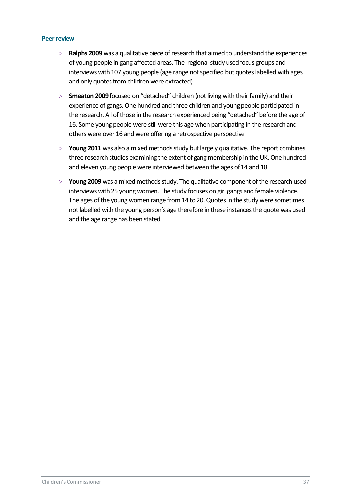#### <span id="page-37-0"></span>**Peer review**

- **Ralphs 2009** was a qualitative piece of research that aimed to understand the experiences of young people in gang affected areas. The regional study used focus groups and interviews with 107 young people (age range not specified but quotes labelled with ages and only quotes from children were extracted)
- **Smeaton 2009** focused on "detached" children (not living with their family) and their experience of gangs. One hundred and three children and young people participated in the research. All of those in the research experienced being "detached" before the age of 16. Some young people were still were this age when participating in the research and others were over 16 and were offering a retrospective perspective
- **Young 2011** was also a mixed methods study but largely qualitative. The report combines three research studies examining the extent of gang membership in the UK. One hundred and eleven young people were interviewed between the ages of 14 and 18
- **Young 2009** was a mixed methods study. The qualitative component of the research used interviews with 25 young women. The study focuses on girl gangs and female violence. The ages of the young women range from 14 to 20. Quotes in the study were sometimes not labelled with the young person's age therefore in these instances the quote was used and the age range has been stated